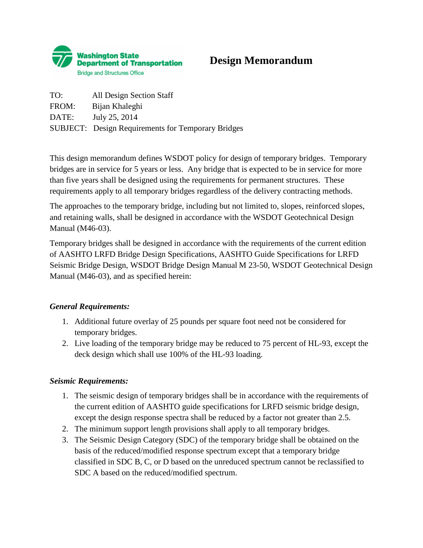

# **Design Memorandum**

TO: All Design Section Staff FROM: Bijan Khaleghi DATE: July 25, 2014 SUBJECT: Design Requirements for Temporary Bridges

This design memorandum defines WSDOT policy for design of temporary bridges. Temporary bridges are in service for 5 years or less. Any bridge that is expected to be in service for more than five years shall be designed using the requirements for permanent structures. These requirements apply to all temporary bridges regardless of the delivery contracting methods.

The approaches to the temporary bridge, including but not limited to, slopes, reinforced slopes, and retaining walls, shall be designed in accordance with the WSDOT Geotechnical Design Manual (M46-03).

Temporary bridges shall be designed in accordance with the requirements of the current edition of AASHTO LRFD Bridge Design Specifications, AASHTO Guide Specifications for LRFD Seismic Bridge Design, WSDOT Bridge Design Manual M 23-50, WSDOT Geotechnical Design Manual (M46-03), and as specified herein:

## *General Requirements:*

- 1. Additional future overlay of 25 pounds per square foot need not be considered for temporary bridges.
- 2. Live loading of the temporary bridge may be reduced to 75 percent of HL-93, except the deck design which shall use 100% of the HL-93 loading.

## *Seismic Requirements:*

- 1. The seismic design of temporary bridges shall be in accordance with the requirements of the current edition of AASHTO guide specifications for LRFD seismic bridge design, except the design response spectra shall be reduced by a factor not greater than 2.5.
- 2. The minimum support length provisions shall apply to all temporary bridges.
- 3. The Seismic Design Category (SDC) of the temporary bridge shall be obtained on the basis of the reduced/modified response spectrum except that a temporary bridge classified in SDC B, C, or D based on the unreduced spectrum cannot be reclassified to SDC A based on the reduced/modified spectrum.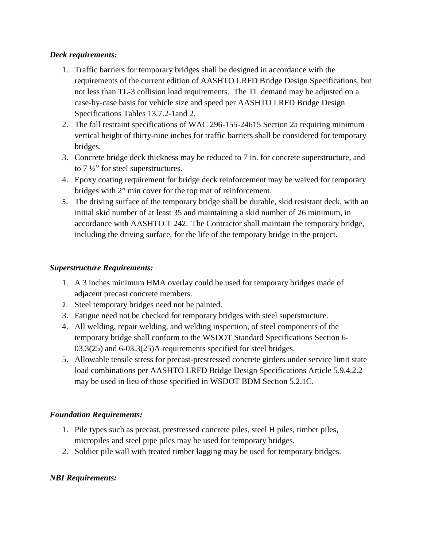## *Deck requirements:*

- 1. Traffic barriers for temporary bridges shall be designed in accordance with the requirements of the current edition of AASHTO LRFD Bridge Design Specifications, but not less than TL-3 collision load requirements. The TL demand may be adjusted on a case-by-case basis for vehicle size and speed per AASHTO LRFD Bridge Design Specifications Tables 13.7.2-1and 2.
- 2. The fall restraint specifications of WAC 296-155-24615 Section 2a requiring minimum vertical height of thirty-nine inches for traffic barriers shall be considered for temporary bridges.
- 3. Concrete bridge deck thickness may be reduced to 7 in. for concrete superstructure, and to 7 ½" for steel superstructures.
- 4. Epoxy coating requirement for bridge deck reinforcement may be waived for temporary bridges with 2" min cover for the top mat of reinforcement.
- 5. The driving surface of the temporary bridge shall be durable, skid resistant deck, with an initial skid number of at least 35 and maintaining a skid number of 26 minimum, in accordance with AASHTO T 242. The Contractor shall maintain the temporary bridge, including the driving surface, for the life of the temporary bridge in the project.

#### *Superstructure Requirements:*

- 1. A 3 inches minimum HMA overlay could be used for temporary bridges made of adjacent precast concrete members.
- 2. Steel temporary bridges need not be painted.
- 3. Fatigue need not be checked for temporary bridges with steel superstructure.
- 4. All welding, repair welding, and welding inspection, of steel components of the temporary bridge shall conform to the WSDOT Standard Specifications Section 6- 03.3(25) and 6-03.3(25)A requirements specified for steel bridges.
- 5. Allowable tensile stress for precast-prestressed concrete girders under service limit state load combinations per AASHTO LRFD Bridge Design Specifications Article 5.9.4.2.2 may be used in lieu of those specified in WSDOT BDM Section 5.2.1C.

## *Foundation Requirements:*

- 1. Pile types such as precast, prestressed concrete piles, steel H piles, timber piles, micropiles and steel pipe piles may be used for temporary bridges.
- 2. Soldier pile wall with treated timber lagging may be used for temporary bridges.

## *NBI Requirements:*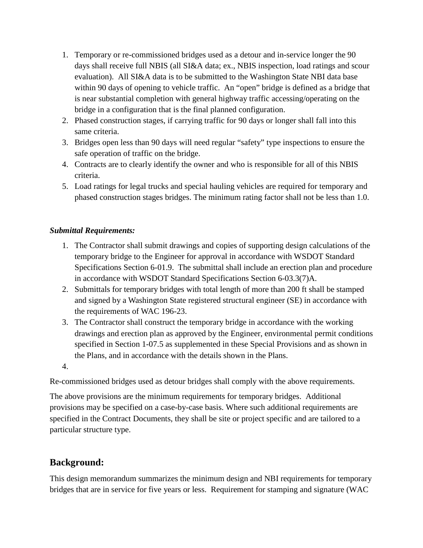- 1. Temporary or re-commissioned bridges used as a detour and in-service longer the 90 days shall receive full NBIS (all SI&A data; ex., NBIS inspection, load ratings and scour evaluation). All SI&A data is to be submitted to the Washington State NBI data base within 90 days of opening to vehicle traffic. An "open" bridge is defined as a bridge that is near substantial completion with general highway traffic accessing/operating on the bridge in a configuration that is the final planned configuration.
- 2. Phased construction stages, if carrying traffic for 90 days or longer shall fall into this same criteria.
- 3. Bridges open less than 90 days will need regular "safety" type inspections to ensure the safe operation of traffic on the bridge.
- 4. Contracts are to clearly identify the owner and who is responsible for all of this NBIS criteria.
- 5. Load ratings for legal trucks and special hauling vehicles are required for temporary and phased construction stages bridges. The minimum rating factor shall not be less than 1.0.

## *Submittal Requirements:*

- 1. The Contractor shall submit drawings and copies of supporting design calculations of the temporary bridge to the Engineer for approval in accordance with WSDOT Standard Specifications Section 6-01.9. The submittal shall include an erection plan and procedure in accordance with WSDOT Standard Specifications Section 6-03.3(7)A.
- 2. Submittals for temporary bridges with total length of more than 200 ft shall be stamped and signed by a Washington State registered structural engineer (SE) in accordance with the requirements of WAC 196-23.
- 3. The Contractor shall construct the temporary bridge in accordance with the working drawings and erection plan as approved by the Engineer, environmental permit conditions specified in Section 1-07.5 as supplemented in these Special Provisions and as shown in the Plans, and in accordance with the details shown in the Plans.
- 4.

Re-commissioned bridges used as detour bridges shall comply with the above requirements.

The above provisions are the minimum requirements for temporary bridges. Additional provisions may be specified on a case-by-case basis. Where such additional requirements are specified in the Contract Documents, they shall be site or project specific and are tailored to a particular structure type.

## **Background:**

This design memorandum summarizes the minimum design and NBI requirements for temporary bridges that are in service for five years or less. Requirement for stamping and signature (WAC